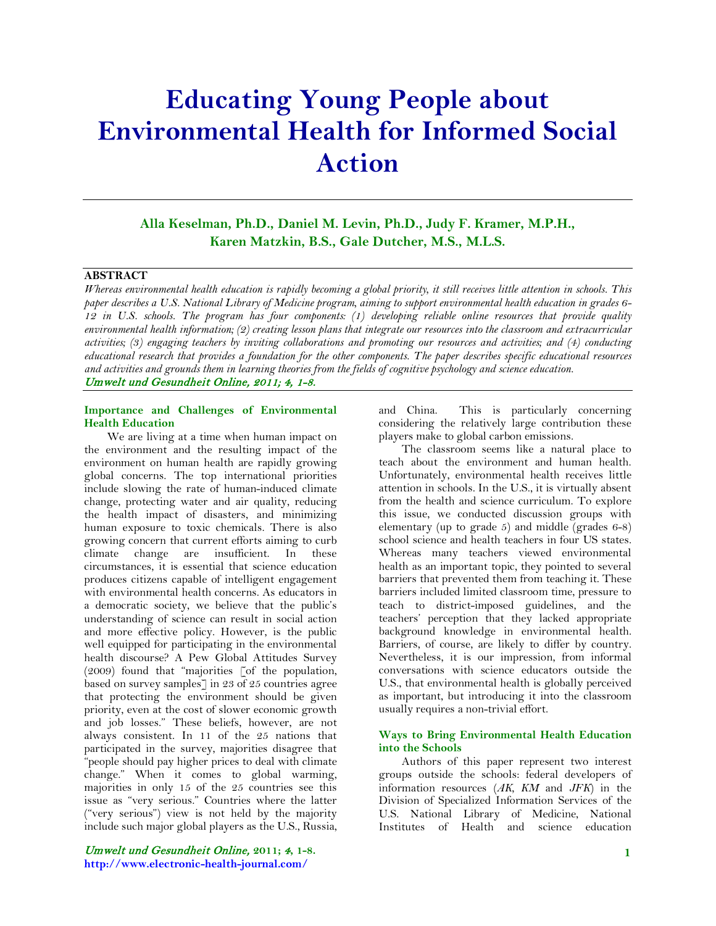# **Educating Young People about Environmental Health for Informed Social Action**

**Alla Keselman, Ph.D., Daniel M. Levin, Ph.D., Judy F. Kramer, M.P.H., Karen Matzkin, B.S., Gale Dutcher, M.S., M.L.S.**

#### **ABSTRACT**

*Whereas environmental health education is rapidly becoming a global priority, it still receives little attention in schools. This paper describes a U.S. National Library of Medicine program, aiming to support environmental health education in grades 6- 12 in U.S. schools. The program has four components: (1) developing reliable online resources that provide quality environmental health information; (2) creating lesson plans that integrate our resources into the classroom and extracurricular activities; (3) engaging teachers by inviting collaborations and promoting our resources and activities; and (4) conducting educational research that provides a foundation for the other components. The paper describes specific educational resources and activities and grounds them in learning theories from the fields of cognitive psychology and science education.* Umwelt und Gesundheit Online, 2011; 4, 1-8.

#### **Importance and Challenges of Environmental Health Education**

 We are living at a time when human impact on the environment and the resulting impact of the environment on human health are rapidly growing global concerns. The top international priorities include slowing the rate of human-induced climate change, protecting water and air quality, reducing the health impact of disasters, and minimizing human exposure to toxic chemicals. There is also growing concern that current efforts aiming to curb climate change are insufficient. In these circumstances, it is essential that science education produces citizens capable of intelligent engagement with environmental health concerns. As educators in a democratic society, we believe that the public's understanding of science can result in social action and more effective policy. However, is the public well equipped for participating in the environmental health discourse? A Pew Global Attitudes Survey (2009) found that "majorities [of the population, based on survey samples] in 23 of 25 countries agree that protecting the environment should be given priority, even at the cost of slower economic growth and job losses." These beliefs, however, are not always consistent. In 11 of the 25 nations that participated in the survey, majorities disagree that "people should pay higher prices to deal with climate change." When it comes to global warming, majorities in only 15 of the 25 countries see this issue as "very serious." Countries where the latter ("very serious") view is not held by the majority include such major global players as the U.S., Russia,

and China. This is particularly concerning considering the relatively large contribution these players make to global carbon emissions.

 The classroom seems like a natural place to teach about the environment and human health. Unfortunately, environmental health receives little attention in schools. In the U.S., it is virtually absent from the health and science curriculum. To explore this issue, we conducted discussion groups with elementary (up to grade  $5$ ) and middle (grades  $6-8$ ) school science and health teachers in four US states. Whereas many teachers viewed environmental health as an important topic, they pointed to several barriers that prevented them from teaching it. These barriers included limited classroom time, pressure to teach to district-imposed guidelines, and the teachers' perception that they lacked appropriate background knowledge in environmental health. Barriers, of course, are likely to differ by country. Nevertheless, it is our impression, from informal conversations with science educators outside the U.S., that environmental health is globally perceived as important, but introducing it into the classroom usually requires a non-trivial effort.

#### **Ways to Bring Environmental Health Education into the Schools**

 Authors of this paper represent two interest groups outside the schools: federal developers of information resources (*AK, KM* and *JFK*) in the Division of Specialized Information Services of the U.S. National Library of Medicine, National Institutes of Health and science education

## Umwelt und Gesundheit Online, **2011;** 4**, 1-8. http://www.electronic-health-journal.com/**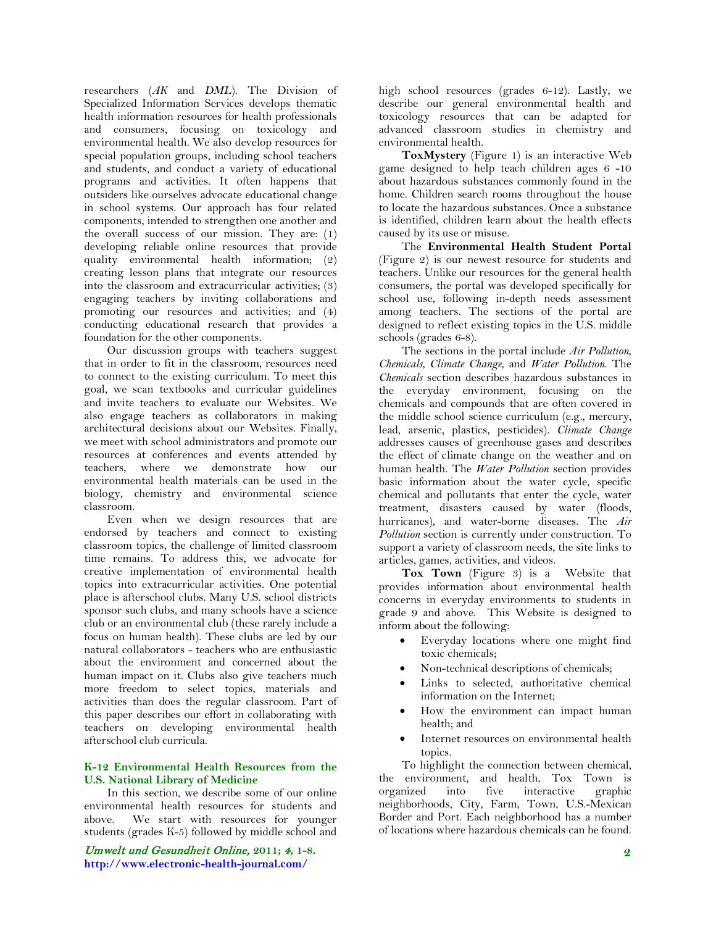researchers (*AK* and *DML*). The Division of Specialized Information Services develops thematic health information resources for health professionals and consumers, focusing on toxicology and environmental health. We also develop resources for special population groups, including school teachers and students, and conduct a variety of educational programs and activities. It often happens that outsiders like ourselves advocate educational change in school systems. Our approach has four related components, intended to strengthen one another and the overall success of our mission. They are: (1) developing reliable online resources that provide quality environmental health information; (2) creating lesson plans that integrate our resources into the classroom and extracurricular activities; (3) engaging teachers by inviting collaborations and promoting our resources and activities; and (4) conducting educational research that provides a foundation for the other components.

 Our discussion groups with teachers suggest that in order to fit in the classroom, resources need to connect to the existing curriculum. To meet this goal, we scan textbooks and curricular guidelines and invite teachers to evaluate our Websites. We also engage teachers as collaborators in making architectural decisions about our Websites. Finally, we meet with school administrators and promote our resources at conferences and events attended by teachers, where we demonstrate how our environmental health materials can be used in the biology, chemistry and environmental science classroom.

 Even when we design resources that are endorsed by teachers and connect to existing classroom topics, the challenge of limited classroom time remains. To address this, we advocate for creative implementation of environmental health topics into extracurricular activities. One potential place is afterschool clubs. Many U.S. school districts sponsor such clubs, and many schools have a science club or an environmental club (these rarely include a focus on human health). These clubs are led by our natural collaborators - teachers who are enthusiastic about the environment and concerned about the human impact on it. Clubs also give teachers much more freedom to select topics, materials and activities than does the regular classroom. Part of this paper describes our effort in collaborating with teachers on developing environmental health afterschool club curricula.

#### **K-12 Environmental Health Resources from the U.S. National Library of Medicine**

 In this section, we describe some of our online environmental health resources for students and above. We start with resources for younger students (grades K-5) followed by middle school and

Umwelt und Gesundheit Online, **2011;** 4**, 1-8. http://www.electronic-health-journal.com/**

high school resources (grades 6-12). Lastly, we describe our general environmental health and toxicology resources that can be adapted for advanced classroom studies in chemistry and environmental health.

 **ToxMystery** (Figure 1) is an interactive Web game designed to help teach children ages 6 -10 about hazardous substances commonly found in the home. Children search rooms throughout the house to locate the hazardous substances. Once a substance is identified, children learn about the health effects caused by its use or misuse.

 The **Environmental Health Student Portal** (Figure 2) is our newest resource for students and teachers. Unlike our resources for the general health consumers, the portal was developed specifically for school use, following in-depth needs assessment among teachers. The sections of the portal are designed to reflect existing topics in the U.S. middle schools (grades 6-8).

 The sections in the portal include *Air Pollution*, *Chemicals*, *Climate Change*, and *Water Pollution*. The *Chemicals* section describes hazardous substances in the everyday environment, focusing on the chemicals and compounds that are often covered in the middle school science curriculum (e.g., mercury, lead, arsenic, plastics, pesticides). *Climate Change* addresses causes of greenhouse gases and describes the effect of climate change on the weather and on human health. The *Water Pollution* section provides basic information about the water cycle, specific chemical and pollutants that enter the cycle, water treatment, disasters caused by water (floods, hurricanes), and water-borne diseases. The *Air Pollution* section is currently under construction. To support a variety of classroom needs, the site links to articles, games, activities, and videos.

 **Tox Town** (Figure 3) is a Website that provides information about environmental health concerns in everyday environments to students in grade 9 and above. This Website is designed to inform about the following:

- Everyday locations where one might find toxic chemicals;
- Non-technical descriptions of chemicals;
- Links to selected, authoritative chemical information on the Internet;
- How the environment can impact human health; and
- Internet resources on environmental health topics.

 To highlight the connection between chemical, the environment, and health, Tox Town is<br>organized into five interactive graphic organized into five interactive neighborhoods, City, Farm, Town, U.S.-Mexican Border and Port. Each neighborhood has a number of locations where hazardous chemicals can be found.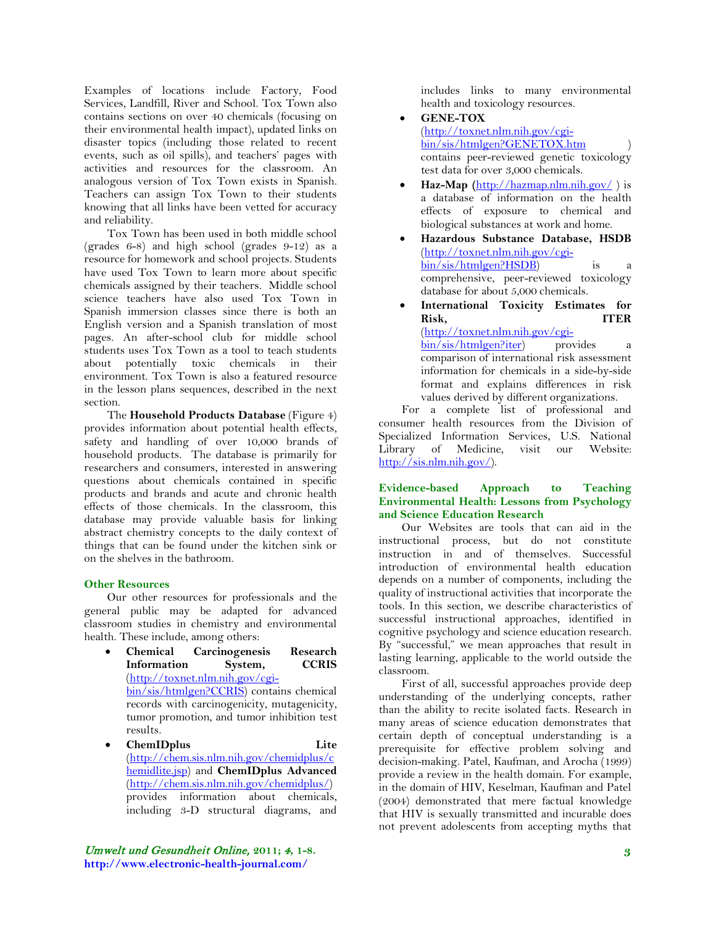Examples of locations include Factory, Food Services, Landfill, River and School. Tox Town also contains sections on over 40 chemicals (focusing on their environmental health impact), updated links on disaster topics (including those related to recent events, such as oil spills), and teachers' pages with activities and resources for the classroom. An analogous version of Tox Town exists in Spanish. Teachers can assign Tox Town to their students knowing that all links have been vetted for accuracy and reliability.

 Tox Town has been used in both middle school (grades 6-8) and high school (grades 9-12) as a resource for homework and school projects. Students have used Tox Town to learn more about specific chemicals assigned by their teachers. Middle school science teachers have also used Tox Town in Spanish immersion classes since there is both an English version and a Spanish translation of most pages. An after-school club for middle school students uses Tox Town as a tool to teach students about potentially toxic chemicals in their environment. Tox Town is also a featured resource in the lesson plans sequences, described in the next section.

 The **Household Products Database** (Figure 4) provides information about potential health effects, safety and handling of over 10,000 brands of household products. The database is primarily for researchers and consumers, interested in answering questions about chemicals contained in specific products and brands and acute and chronic health effects of those chemicals. In the classroom, this database may provide valuable basis for linking abstract chemistry concepts to the daily context of things that can be found under the kitchen sink or on the shelves in the bathroom.

#### **Other Resources**

 Our other resources for professionals and the general public may be adapted for advanced classroom studies in chemistry and environmental health. These include, among others:

- **[Chemical Carcinogenesis Research](http://toxnet.nlm.nih.gov/cgi-bin/sis/htmlgen?CCRIS)  [Information System,](http://toxnet.nlm.nih.gov/cgi-bin/sis/htmlgen?CCRIS) CCRIS** [\(http://toxnet.nlm.nih.gov/cgi](http://toxnet.nlm.nih.gov/cgi-bin/sis/htmlgen?CCRIS)[bin/sis/htmlgen?CCRIS\)](http://toxnet.nlm.nih.gov/cgi-bin/sis/htmlgen?CCRIS) contains chemical records with carcinogenicity, mutagenicity, tumor promotion, and tumor inhibition test results.
- **[ChemIDplus Lite](http://chem.sis.nlm.nih.gov/chemidplus/chemidlite.jsp)** [\(http://chem.sis.nlm.nih.gov/chemidplus/c](http://chem.sis.nlm.nih.gov/chemidplus/chemidlite.jsp) [hemidlite.jsp\)](http://chem.sis.nlm.nih.gov/chemidplus/chemidlite.jsp) and **[ChemIDplus Advanced](http://chem.sis.nlm.nih.gov/chemidplus/)** [\(http://chem.sis.nlm.nih.gov/chemidplus/\)](http://chem.sis.nlm.nih.gov/chemidplus/) provides information about chemicals, including 3-D structural diagrams, and

includes links to many environmental health and toxicology resources.

- **[GENE-TOX](http://www.nlm.nih.gov/pubs/factsheets/genetxfs.html)** [\(http://toxnet.nlm.nih.gov/cgi](http://toxnet.nlm.nih.gov/cgi-bin/sis/htmlgen?GENETOX.htm)[bin/sis/htmlgen?GENETOX.htm](http://toxnet.nlm.nih.gov/cgi-bin/sis/htmlgen?GENETOX.htm) ) contains peer-reviewed genetic toxicology test data for over 3,000 chemicals.
- **[Haz-Map](http://hazmap.nlm.nih.gov/) (**<http://hazmap.nlm.nih.gov/> ) is a database of information on the health effects of exposure to chemical and biological substances at work and home.
- **Hazardous Substance Database, HSDB** [\(http://toxnet.nlm.nih.gov/cgi](http://toxnet.nlm.nih.gov/cgi-bin/sis/htmlgen?HSDB)[bin/sis/htmlgen?HSDB\)](http://toxnet.nlm.nih.gov/cgi-bin/sis/htmlgen?HSDB) is a comprehensive, peer-reviewed toxicology database for about 5,000 chemicals.
- **International Toxicity Estimates for Risk, ITER** [\(http://toxnet.nlm.nih.gov/cgi](http://toxnet.nlm.nih.gov/cgi-bin/sis/htmlgen?iter)[bin/sis/htmlgen?iter\)](http://toxnet.nlm.nih.gov/cgi-bin/sis/htmlgen?iter) provides a comparison of international risk assessment information for chemicals in a side-by-side format and explains differences in risk

values derived by different organizations. For a complete list of professional and consumer health resources from the Division of Specialized Information Services, U.S. National Library of Medicine, visit our

[http://sis.nlm.nih.gov/\)](http://sis.nlm.nih.gov/).

#### **Evidence-based Approach to Teaching Environmental Health: Lessons from Psychology and Science Education Research**

 Our Websites are tools that can aid in the instructional process, but do not constitute instruction in and of themselves. Successful introduction of environmental health education depends on a number of components, including the quality of instructional activities that incorporate the tools. In this section, we describe characteristics of successful instructional approaches, identified in cognitive psychology and science education research. By "successful," we mean approaches that result in lasting learning, applicable to the world outside the classroom.

 First of all, successful approaches provide deep understanding of the underlying concepts, rather than the ability to recite isolated facts. Research in many areas of science education demonstrates that certain depth of conceptual understanding is a prerequisite for effective problem solving and decision-making. Patel, Kaufman, and Arocha (1999) provide a review in the health domain. For example, in the domain of HIV, Keselman, Kaufman and Patel (2004) demonstrated that mere factual knowledge that HIV is sexually transmitted and incurable does not prevent adolescents from accepting myths that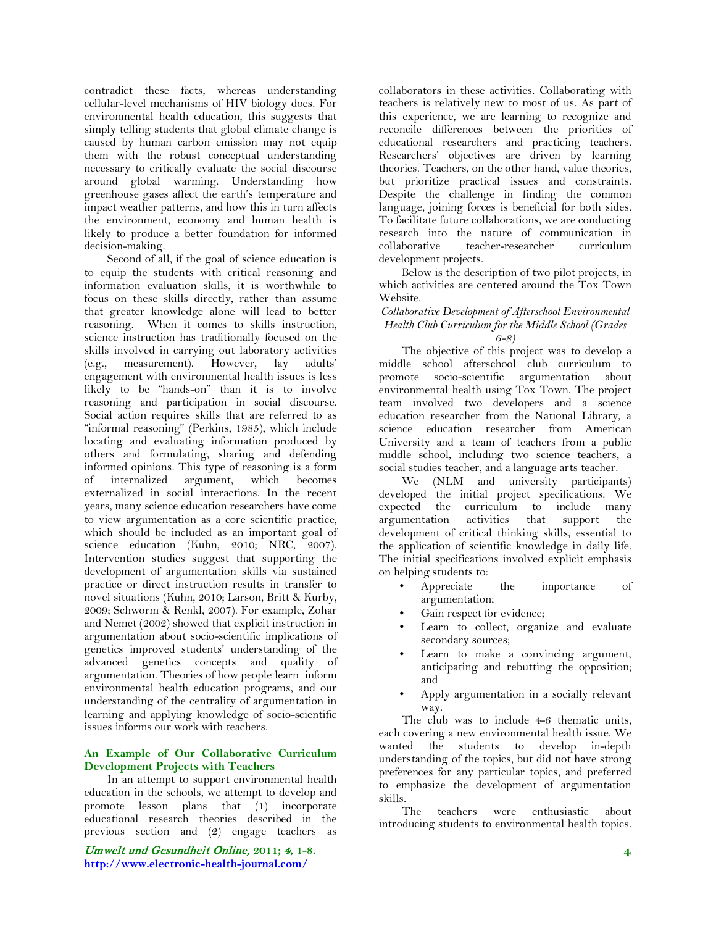contradict these facts, whereas understanding cellular-level mechanisms of HIV biology does. For environmental health education, this suggests that simply telling students that global climate change is caused by human carbon emission may not equip them with the robust conceptual understanding necessary to critically evaluate the social discourse around global warming. Understanding how greenhouse gases affect the earth's temperature and impact weather patterns, and how this in turn affects the environment, economy and human health is likely to produce a better foundation for informed decision-making.

 Second of all, if the goal of science education is to equip the students with critical reasoning and information evaluation skills, it is worthwhile to focus on these skills directly, rather than assume that greater knowledge alone will lead to better reasoning. When it comes to skills instruction, science instruction has traditionally focused on the skills involved in carrying out laboratory activities (e.g., measurement). However, lay adults' engagement with environmental health issues is less likely to be "hands-on" than it is to involve reasoning and participation in social discourse. Social action requires skills that are referred to as "informal reasoning" (Perkins, 1985), which include locating and evaluating information produced by others and formulating, sharing and defending informed opinions. This type of reasoning is a form of internalized argument, which becomes externalized in social interactions. In the recent years, many science education researchers have come to view argumentation as a core scientific practice, which should be included as an important goal of science education (Kuhn, 2010; NRC, 2007). Intervention studies suggest that supporting the development of argumentation skills via sustained practice or direct instruction results in transfer to novel situations (Kuhn, 2010; Larson, Britt & Kurby, 2009; Schworm & Renkl, 2007). For example, Zohar and Nemet (2002) showed that explicit instruction in argumentation about socio-scientific implications of genetics improved students' understanding of the advanced genetics concepts and quality of argumentation. Theories of how people learn inform environmental health education programs, and our understanding of the centrality of argumentation in learning and applying knowledge of socio-scientific issues informs our work with teachers.

#### **An Example of Our Collaborative Curriculum Development Projects with Teachers**

 In an attempt to support environmental health education in the schools, we attempt to develop and promote lesson plans that (1) incorporate educational research theories described in the previous section and (2) engage teachers as

Umwelt und Gesundheit Online, **2011;** 4**, 1-8. http://www.electronic-health-journal.com/**

collaborators in these activities. Collaborating with teachers is relatively new to most of us. As part of this experience, we are learning to recognize and reconcile differences between the priorities of educational researchers and practicing teachers. Researchers' objectives are driven by learning theories. Teachers, on the other hand, value theories, but prioritize practical issues and constraints. Despite the challenge in finding the common language, joining forces is beneficial for both sides. To facilitate future collaborations, we are conducting research into the nature of communication in collaborative teacher-researcher curriculum development projects.

 Below is the description of two pilot projects, in which activities are centered around the Tox Town Website.

#### *Collaborative Development of Afterschool Environmental Health Club Curriculum for the Middle School (Grades 6-8)*

 The objective of this project was to develop a middle school afterschool club curriculum to promote socio-scientific argumentation about environmental health using Tox Town. The project team involved two developers and a science education researcher from the National Library, a science education researcher from American University and a team of teachers from a public middle school, including two science teachers, a social studies teacher, and a language arts teacher.

 We (NLM and university participants) developed the initial project specifications. We expected the curriculum to include many<br>argumentation activities that support the argumentation activities that support the development of critical thinking skills, essential to the application of scientific knowledge in daily life. The initial specifications involved explicit emphasis on helping students to:

- Appreciate the importance of argumentation;
- Gain respect for evidence;
- Learn to collect, organize and evaluate secondary sources;
- Learn to make a convincing argument, anticipating and rebutting the opposition; and
- Apply argumentation in a socially relevant way.

 The club was to include 4-6 thematic units, each covering a new environmental health issue. We wanted the students to develop in-depth understanding of the topics, but did not have strong preferences for any particular topics, and preferred to emphasize the development of argumentation skills.

 The teachers were enthusiastic about introducing students to environmental health topics.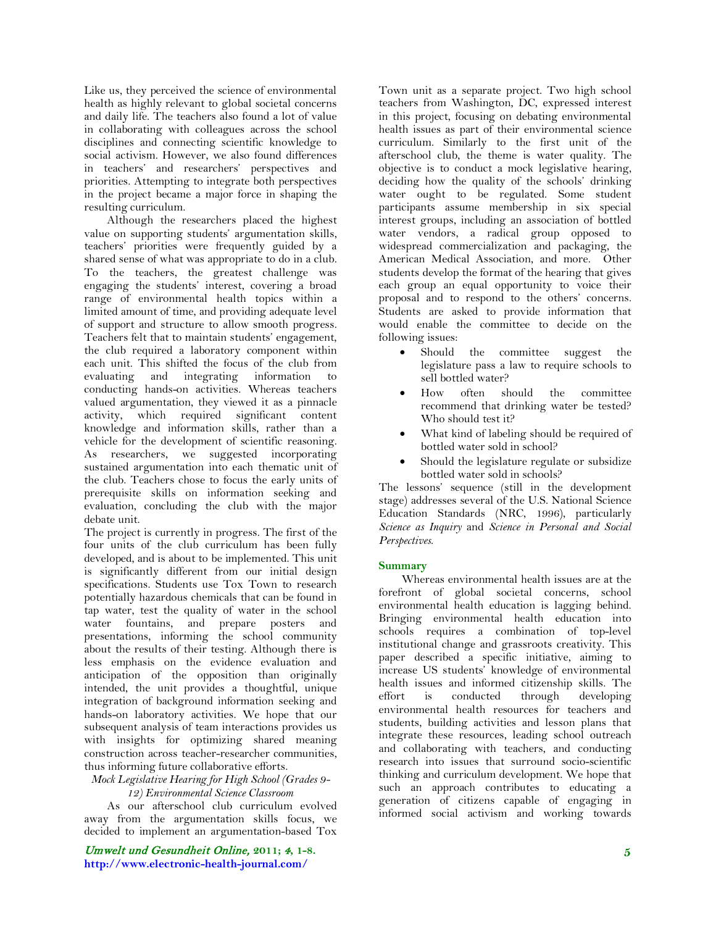Like us, they perceived the science of environmental health as highly relevant to global societal concerns and daily life. The teachers also found a lot of value in collaborating with colleagues across the school disciplines and connecting scientific knowledge to social activism. However, we also found differences in teachers' and researchers' perspectives and priorities. Attempting to integrate both perspectives in the project became a major force in shaping the resulting curriculum.

 Although the researchers placed the highest value on supporting students' argumentation skills, teachers' priorities were frequently guided by a shared sense of what was appropriate to do in a club. To the teachers, the greatest challenge was engaging the students' interest, covering a broad range of environmental health topics within a limited amount of time, and providing adequate level of support and structure to allow smooth progress. Teachers felt that to maintain students' engagement, the club required a laboratory component within each unit. This shifted the focus of the club from evaluating and integrating information to conducting hands-on activities. Whereas teachers valued argumentation, they viewed it as a pinnacle activity, which required significant content knowledge and information skills, rather than a vehicle for the development of scientific reasoning. As researchers, we suggested incorporating sustained argumentation into each thematic unit of the club. Teachers chose to focus the early units of prerequisite skills on information seeking and evaluation, concluding the club with the major debate unit.

The project is currently in progress. The first of the four units of the club curriculum has been fully developed, and is about to be implemented. This unit is significantly different from our initial design specifications. Students use Tox Town to research potentially hazardous chemicals that can be found in tap water, test the quality of water in the school water fountains, and prepare posters and presentations, informing the school community about the results of their testing. Although there is less emphasis on the evidence evaluation and anticipation of the opposition than originally intended, the unit provides a thoughtful, unique integration of background information seeking and hands-on laboratory activities. We hope that our subsequent analysis of team interactions provides us with insights for optimizing shared meaning construction across teacher-researcher communities, thus informing future collaborative efforts.

*Mock Legislative Hearing for High School (Grades 9- 12) Environmental Science Classroom*

 As our afterschool club curriculum evolved away from the argumentation skills focus, we decided to implement an argumentation-based Tox

Umwelt und Gesundheit Online, **2011;** 4**, 1-8. http://www.electronic-health-journal.com/**

Town unit as a separate project. Two high school teachers from Washington, DC, expressed interest in this project, focusing on debating environmental health issues as part of their environmental science curriculum. Similarly to the first unit of the afterschool club, the theme is water quality. The objective is to conduct a mock legislative hearing, deciding how the quality of the schools' drinking water ought to be regulated. Some student participants assume membership in six special interest groups, including an association of bottled water vendors, a radical group opposed to widespread commercialization and packaging, the American Medical Association, and more. Other students develop the format of the hearing that gives each group an equal opportunity to voice their proposal and to respond to the others' concerns. Students are asked to provide information that would enable the committee to decide on the following issues:

- Should the committee suggest the legislature pass a law to require schools to sell bottled water?
- How often should the committee recommend that drinking water be tested? Who should test it?
- What kind of labeling should be required of bottled water sold in school?
- Should the legislature regulate or subsidize bottled water sold in schools?

The lessons' sequence (still in the development stage) addresses several of the U.S. National Science Education Standards (NRC, 1996), particularly *Science as Inquiry* and *Science in Personal and Social Perspectives*.

### **Summary**

 Whereas environmental health issues are at the forefront of global societal concerns, school environmental health education is lagging behind. Bringing environmental health education into schools requires a combination of top-level institutional change and grassroots creativity. This paper described a specific initiative, aiming to increase US students' knowledge of environmental health issues and informed citizenship skills. The effort is conducted through developing environmental health resources for teachers and students, building activities and lesson plans that integrate these resources, leading school outreach and collaborating with teachers, and conducting research into issues that surround socio-scientific thinking and curriculum development. We hope that such an approach contributes to educating a generation of citizens capable of engaging in informed social activism and working towards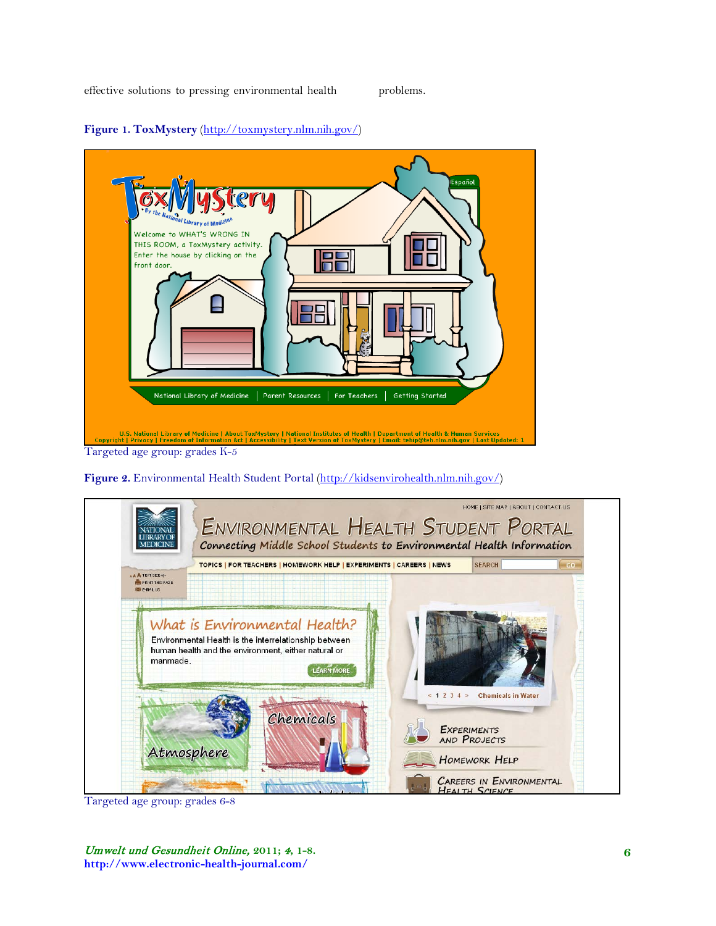

**Figure 1. ToxMystery** [\(http://toxmystery.nlm.nih.gov/\)](http://toxmystery.nlm.nih.gov/)

**Figure 2.** Environmental Health Student Portal [\(http://kidsenvirohealth.nlm.nih.gov/\)](http://kidsenvirohealth.nlm.nih.gov/)



Targeted age group: grades 6-8

Umwelt und Gesundheit Online, **2011;** 4**, 1-8. http://www.electronic-health-journal.com/**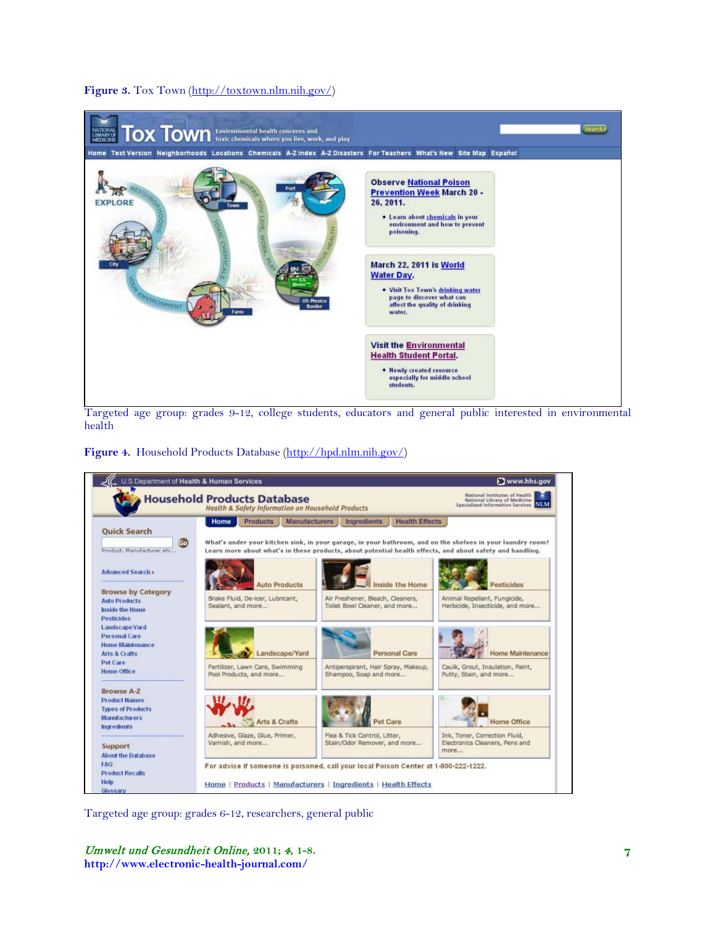## Figure 3. Tox Town [\(http://toxtown.nlm.nih.gov/\)](http://toxtown.nlm.nih.gov/)



Targeted age group: grades 9-12, college students, educators and general public interested in environmental health

**Figure 4.** Household Products Database [\(http://hpd.nlm.nih.gov/\)](http://hpd.nlm.nih.gov/)



Targeted age group: grades 6-12, researchers, general public